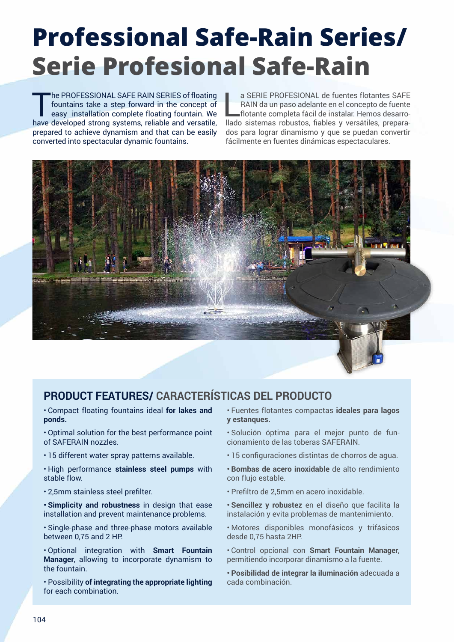# **Professional Safe-Rain Series/ Serie Profesional Safe-Rain**

The PROFESSIONAL SAFE RAIN SERIES of floating<br>fountains take a step forward in the concept of<br>easy installation complete floating fountain. We<br>have doveled at trans every reliable and versatile fountains take a step forward in the concept of easy installation complete floating fountain. We have developed strong systems, reliable and versatile, prepared to achieve dynamism and that can be easily converted into spectacular dynamic fountains.

a SERIE PROFESIONAL de fuentes flotantes SAFE<br>RAIN da un paso adelante en el concepto de fuente<br>flotante completa fácil de instalar. Hemos desarro-<br>llado sistemas robustos, fiables y versátiles, preparaa SERIE PROFESIONAL de fuentes flotantes SAFE RAIN da un paso adelante en el concepto de fuente flotante completa fácil de instalar. Hemos desarrodos para lograr dinamismo y que se puedan convertir fácilmente en fuentes dinámicas espectaculares.



## **PRODUCT FEATURES/ CARACTERÍSTICAS DEL PRODUCTO**

• Compact floating fountains ideal **for lakes and ponds.**

• Optimal solution for the best performance point of SAFERAIN nozzles.

- 15 different water spray patterns available.
- High performance **stainless steel pumps** with stable flow.
- 2,5mm stainless steel prefilter.

**• Simplicity and robustness** in design that ease installation and prevent maintenance problems.

• Single-phase and three-phase motors available between 0,75 and 2 HP.

• Optional integration with **Smart Fountain Manager**, allowing to incorporate dynamism to the fountain.

• Possibility **of integrating the appropriate lighting** for each combination.

- Fuentes flotantes compactas **ideales para lagos y estanques.**
- Solución óptima para el mejor punto de funcionamiento de las toberas SAFERAIN.
- 15 configuraciones distintas de chorros de agua.
- **• Bombas de acero inoxidable** de alto rendimiento con flujo estable.
- Prefiltro de 2,5mm en acero inoxidable.
- **• Sencillez y robustez** en el diseño que facilita la instalación y evita problemas de mantenimiento.

• Motores disponibles monofásicos y trifásicos desde 0,75 hasta 2HP.

• Control opcional con **Smart Fountain Manager**, permitiendo incorporar dinamismo a la fuente.

**• Posibilidad de integrar la iluminación** adecuada a cada combinación.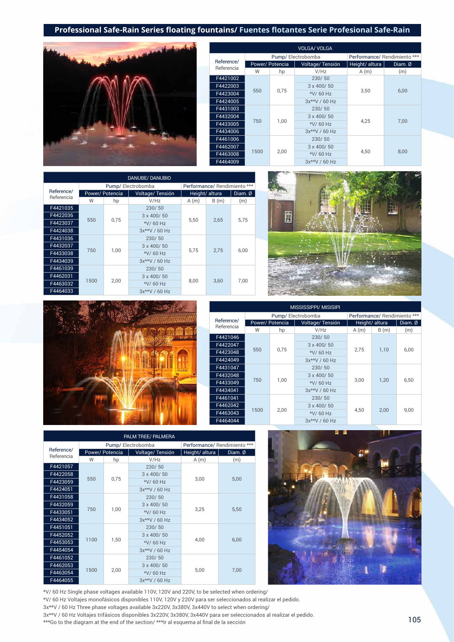

|                          |      |                | <b>VOLGA/ VOLGA</b> |                              |         |
|--------------------------|------|----------------|---------------------|------------------------------|---------|
|                          |      |                | Pump/Electrobomba   | Performance/ Rendimiento *** |         |
| Reference/<br>Referencia |      | Power/Potencia | Voltage/Tensión     | Height/altura                | Diam. Ø |
|                          | W    | hp             | V/Hz                | A(m)                         | (m)     |
| F4421002                 |      |                | 230/50              |                              |         |
| F4422003                 |      | 0,75           | $3 \times 400 / 50$ |                              | 6,00    |
| F4423004                 | 550  |                | *V/60 Hz            | 3,50                         |         |
| F4424005                 |      |                | $3x**V / 60 Hz$     |                              |         |
| F4431003                 |      |                | 230/50              |                              |         |
| F4432004                 |      |                | $3 \times 400 / 50$ |                              |         |
| F4433005                 | 750  | 1.00           | *V/60 Hz            | 4.25                         | 7.00    |
| F4434006                 |      |                | 3x**V / 60 Hz       |                              |         |
| F4461006                 |      |                | 230/50              |                              |         |
| F4462007                 |      |                | $3 \times 400 / 50$ |                              |         |
| F4463008                 | 1500 | 2.00           | *V/60 Hz            | 4.50                         | 8.00    |
| F4464009                 |      |                | 3x**V / 60 Hz       |                              |         |

|                          |      |                 | <b>DANUBE/ DANUBIO</b> |      |                              |                   |
|--------------------------|------|-----------------|------------------------|------|------------------------------|-------------------|
|                          |      |                 | Pump/Electrobomba      |      | Performance/ Rendimiento *** |                   |
| Reference/<br>Referencia |      | Power/ Potencia | Voltage/Tensión        |      | Height/altura                | $Diam. \emptyset$ |
|                          | W    | hp              | V/Hz                   | A(m) | B(m)                         | (m)               |
| F4421035                 |      |                 | 230/50                 | 5,50 |                              |                   |
| F4422036                 |      |                 | 3 x 400/50             |      | 2,65                         | 5,75              |
| F4423037                 | 550  | 0,75            | *V/60 Hz               |      |                              |                   |
| F4424038                 |      |                 | $3x**V / 60 Hz$        |      |                              |                   |
| F4431036                 |      |                 | 230/50                 |      | 2.75                         |                   |
| F4432037                 |      |                 | 3 x 400/50             |      |                              |                   |
| F4433038                 | 750  | 1.00            | *V/60 Hz               | 5.75 |                              | 6,00              |
| F4434039                 |      |                 | $3x**V / 60 Hz$        |      |                              |                   |
| F4461039                 |      |                 | 230/50                 |      |                              |                   |
| F4462031                 |      |                 | 3 x 400/50             |      |                              |                   |
| F4463032                 | 1500 | 2,00            | *V/60 Hz               | 8,00 | 3.60                         | 7,00              |
| F4464033                 |      |                 | 3x**V / 60 Hz          |      |                              |                   |





|            |      |                | MISSISSIPPI/ MISISIPI |      |                              |      |  |
|------------|------|----------------|-----------------------|------|------------------------------|------|--|
|            |      |                | Pump/Electrobomba     |      | Performance/ Rendimiento *** |      |  |
| Reference/ |      | Power/Potencia | Voltage/Tensión       |      | Height/ altura               |      |  |
| Referencia | W    | hp             | V/Hz                  | A(m) | B(m)                         | (m)  |  |
| F4421046   |      |                | 230/50                |      |                              |      |  |
| F4422047   |      |                | $3 \times 400 / 50$   |      |                              |      |  |
| F4423048   | 550  | 0,75           | *V/60 Hz              | 2,75 | 1,10                         | 6,00 |  |
| F4424049   |      |                | $3x**V / 60 Hz$       |      |                              |      |  |
| F4431047   |      |                | 230/50                |      |                              | 6,50 |  |
| F4432048   |      |                | $3 \times 400 / 50$   |      |                              |      |  |
| F4433049   | 750  | 1,00           | *V/60 Hz              | 3,00 | 1,20                         |      |  |
| F4434041   |      |                | 3x**V / 60 Hz         |      |                              |      |  |
| F4461041   |      |                | 230/50                |      |                              |      |  |
| F4462042   |      |                | $3 \times 400 / 50$   |      |                              |      |  |
| F4463043   | 1500 | 2,00           | *V/60 Hz              | 4,50 | 2,00                         | 9,00 |  |
| F4464044   |      |                | 3x**V / 60 Hz         |      |                              |      |  |

|                          |      |                | PALM TREE/ PALMERA |                              |         |  |
|--------------------------|------|----------------|--------------------|------------------------------|---------|--|
|                          |      |                | Pump/Electrobomba  | Performance/ Rendimiento *** |         |  |
| Reference/<br>Referencia |      | Power/Potencia | Voltage/Tensión    | Height/altura                | Diam. Ø |  |
|                          | W    | hp             | V/Hz               | A(m)                         | (m)     |  |
| F4421057                 |      |                | 230/50             |                              |         |  |
| F4422058                 |      |                | 3 x 400/50         |                              | 5,00    |  |
| F4423059                 | 550  | 0,75           | *V/60 Hz           | 3,00                         |         |  |
| F4424051                 |      |                | $3x**V / 60 Hz$    |                              |         |  |
| F4431058                 |      |                | 230/50             |                              | 5,50    |  |
| F4432059                 |      |                | 3 x 400/50         |                              |         |  |
| F4433051                 | 750  | 1,00           | *V/60 Hz           | 3,25                         |         |  |
| F4434052                 |      |                | 3x**V / 60 Hz      |                              |         |  |
| F4451051                 |      |                | 230/50             |                              |         |  |
| F4452052                 |      |                | 3 x 400/50         |                              |         |  |
| F4453053                 | 1100 | 1,50           | *V/60 Hz           | 4.00                         | 6,00    |  |
| F4454054                 |      |                | 3x**V / 60 Hz      |                              |         |  |
| F4461052                 |      |                | 230/50             |                              |         |  |
| F4462053                 |      |                | 3 x 400/50         |                              |         |  |
| F4463054                 | 1500 | 2,00           | *V/60 Hz           | 5,00                         | 7,00    |  |
| F4464055                 |      |                | 3x**V / 60 Hz      |                              |         |  |



\*V/ 60 Hz Single phase voltages available 110V, 120V and 220V, to be selected when ordering/ \*V/ 60 Hz Voltajes monofásicos disponibles 110V, 120V y 220V para ser seleccionados al realizar el pedido. 3x\*\*V / 60 Hz Three phase voltages available 3x220V, 3x380V, 3x440V to select when ordering/ 3x\*\*V / 60 Hz Voltajes trifásicos disponibles 3x220V, 3x380V, 3x440V para ser seleccionados al realizar el pedido. \*\*\*Go to the diagram at the end of the section/ \*\*\*Ir al esquema al final de la sección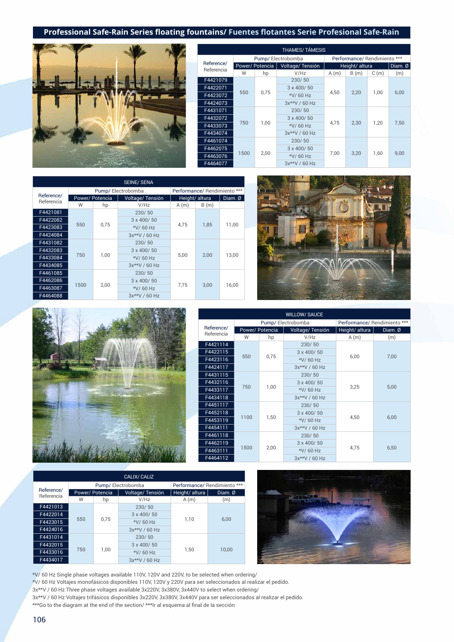

| <b>THAMES/TÁMESIS</b>    |      |                 |                     |                              |                |      |         |  |
|--------------------------|------|-----------------|---------------------|------------------------------|----------------|------|---------|--|
|                          |      |                 | Pump/Electrobomba   | Performance/ Rendimiento *** |                |      |         |  |
| Reference/<br>Referencia |      | Power/ Potencia | Voltage/Tensión     |                              | Height/ altura |      | Diam. Ø |  |
|                          | W    | hp              | V/Hz                | A(m)                         | B(m)           | C(m) | (m)     |  |
| F4421079                 |      |                 | 230/50              | 4.50                         |                | 1.00 |         |  |
| F4422071                 |      |                 | 3 x 400/50          |                              | 2,20           |      | 6,00    |  |
| F4423072                 | 550  | 0,75            | *V/60 Hz            |                              |                |      |         |  |
| F4424073                 |      |                 | 3x**V / 60 Hz       |                              |                |      |         |  |
| F4431071                 |      |                 | 230/50              |                              |                | 1.20 |         |  |
| F4432072                 |      |                 | $3 \times 400 / 50$ |                              |                |      |         |  |
| F4433073                 | 750  | 1.00            | *V/60 Hz            | 4,75                         | 2,30           |      | 7,50    |  |
| F4434074                 |      |                 | 3x**V / 60 Hz       |                              |                |      |         |  |
| F4461074                 |      |                 | 230/50              |                              |                |      |         |  |
| F4462075                 |      |                 | $3 \times 400 / 50$ |                              |                |      |         |  |
| F4463076                 | 1500 | 2,00            | *V/60 Hz            | 7,00                         | 3,20           | 1,60 | 9,00    |  |
| F4464077                 |      |                 | 3x**V / 60 Hz       |                              |                |      |         |  |

|            |                 |      | <b>SEINE/ SENA</b>  |                              |      |           |  |
|------------|-----------------|------|---------------------|------------------------------|------|-----------|--|
|            |                 |      | Pump/Electrobomba   | Performance/ Rendimiento *** |      |           |  |
| Reference/ | Power/ Potencia |      | Voltage/Tensión     | Height/ altura               |      | Diam. $Ø$ |  |
| Referencia | W               | hp   | V/Hz                | A(m)                         | B(m) |           |  |
| F4421081   |                 |      | 230/50              |                              |      |           |  |
| F4422082   |                 |      | $3 \times 400 / 50$ | 4.75                         | 1.85 | 11.00     |  |
| F4423083   | 550             | 0.75 | *V/60 Hz            |                              |      |           |  |
| F4424084   |                 |      | 3x**V / 60 Hz       |                              |      |           |  |
| F4431082   |                 |      | 230/50              |                              |      |           |  |
| F4432083   |                 |      | $3 \times 400 / 50$ |                              |      |           |  |
| F4433084   | 750             | 1,00 | *V/60 Hz            | 5,00                         | 2.00 | 13,00     |  |
| F4434085   |                 |      | 3x**V / 60 Hz       |                              |      |           |  |
| F4461085   |                 |      | 230/50              |                              |      |           |  |
| F4462086   |                 |      | $3 \times 400 / 50$ |                              |      |           |  |
| F4463087   | 1500            | 2.00 | *V/60 Hz            | 7.75                         | 3.00 | 16,00     |  |
| F4464088   |                 |      | $3x**V / 60 Hz$     |                              |      |           |  |





|                          |      |                 | <b>WILLOW/ SAUCE</b> |                              |           |  |
|--------------------------|------|-----------------|----------------------|------------------------------|-----------|--|
|                          |      |                 | Pump/Electrobomba    | Performance/ Rendimiento *** |           |  |
| Reference/<br>Referencia |      | Power/ Potencia | Voltage/Tensión      | Height/ altura               | Diam. $Ø$ |  |
|                          | W    | hp              | V/Hz                 | A(m)                         | (m)       |  |
| F4421114                 |      |                 | 230/50               |                              |           |  |
| F4422115                 |      |                 | $3 \times 400 / 50$  |                              | 7.00      |  |
| F4423116                 | 550  | 0.75            | *V/60 Hz             | 6.00                         |           |  |
| F4424117                 |      |                 | 3x**V / 60 Hz        |                              |           |  |
| F4431115                 |      |                 | 230/50               |                              | 5,00      |  |
| F4432116                 |      |                 | $3 \times 400 / 50$  | 3,25                         |           |  |
| F4433117                 | 750  | 1,00            | *V/60 Hz             |                              |           |  |
| F4434118                 |      |                 | $3x**V / 60 Hz$      |                              |           |  |
| F4451117                 |      |                 | 230/50               |                              |           |  |
| F4452118                 |      |                 | $3 \times 400 / 50$  |                              |           |  |
| F4453119                 | 1100 | 1,50            | *V/60 Hz             | 4,50                         | 6,00      |  |
| F4454111                 |      |                 | 3x**V / 60 Hz        |                              |           |  |
| F4461118                 |      |                 | 230/50               |                              |           |  |
| F4462119                 |      |                 | $3 \times 400 / 50$  |                              |           |  |
| F4463111                 | 1500 | 2,00            | *V/60 Hz             | 4,75                         | 6,50      |  |
| F4464112                 |      |                 | 3x**V / 60 Hz        |                              |           |  |

|                          |     |                | CALIX/ CALIZ        |                              |         |  |
|--------------------------|-----|----------------|---------------------|------------------------------|---------|--|
|                          |     |                | Pump/Electrobomba   | Performance/ Rendimiento *** |         |  |
| Reference/<br>Referencia |     | Power/Potencia | Voltage/Tensión     | Height/ altura               | Diam. Ø |  |
|                          | W   | hp             | V/Hz                | A(m)                         | (m)     |  |
| F4421013                 |     |                | 230/50              |                              | 6.00    |  |
| F4422014                 |     |                | $3 \times 400 / 50$ | 1.10                         |         |  |
| F4423015                 | 550 | 0,75           | *V/60 Hz            |                              |         |  |
| F4424016                 |     |                | 3x**V / 60 Hz       |                              |         |  |
| F4431014                 |     |                | 230/50              |                              |         |  |
| F4432015                 |     |                | $3 \times 400 / 50$ |                              |         |  |
| F4433016                 | 750 | 1,00           | *V/60 Hz            | 1.50                         | 10.00   |  |
| F4434017                 |     |                | 3x**V / 60 Hz       |                              |         |  |



\*V/ 60 Hz Single phase voltages available 110V, 120V and 220V, to be selected when ordering/

\*V/ 60 Hz Voltajes monofásicos disponibles 110V, 120V y 220V para ser seleccionados al realizar el pedido.

3x\*\*V / 60 Hz Three phase voltages available 3x220V, 3x380V, 3x440V to select when ordering/

3x\*\*V / 60 Hz Voltajes trifásicos disponibles 3x220V, 3x380V, 3x440V para ser seleccionados al realizar el pedido. \*\*\*Go to the diagram at the end of the section/ \*\*\*Ir al esquema al final de la sección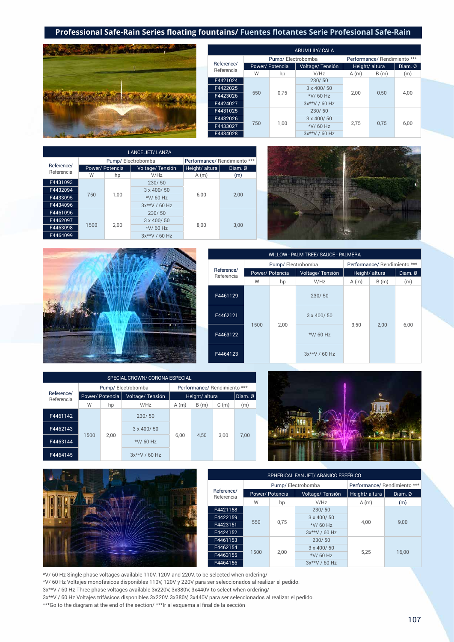

|                          |     |                   | <b>ARUM LILY/ CALA</b> |      |                              |         |  |  |
|--------------------------|-----|-------------------|------------------------|------|------------------------------|---------|--|--|
|                          |     | Pump/Electrobomba |                        |      | Performance/ Rendimiento *** |         |  |  |
| Reference/<br>Referencia |     | Power/ Potencia   | Voltage/Tensión        |      | Height/ altura               | Diam. Ø |  |  |
|                          | W   | hp                | V/Hz                   | A(m) | B(m)                         | (m)     |  |  |
| F4421024                 |     |                   | 230/50                 | 2.00 |                              | 4,00    |  |  |
| F4422025                 |     |                   | 3 x 400/50             |      | 0.50                         |         |  |  |
| F4423026                 | 550 | 0.75              | *V/60 Hz               |      |                              |         |  |  |
| F4424027                 |     |                   | 3x**V / 60 Hz          |      |                              |         |  |  |
| F4431025                 |     |                   | 230/50                 |      |                              |         |  |  |
| F4432026                 |     |                   | 3 x 400/50             |      |                              |         |  |  |
| F4433027                 | 750 | 1,00              | *V/60 Hz               | 2.75 | 0.75                         | 6,00    |  |  |
| F4434028                 |     |                   | 3x**V / 60 Hz          |      |                              |         |  |  |

|            |      |                 | <b>LANCE JET/ LANZA</b> |                              |              |
|------------|------|-----------------|-------------------------|------------------------------|--------------|
|            |      |                 | Pump/Electrobomba       | Performance/ Rendimiento *** |              |
| Reference/ |      | Power/ Potencia | Voltage/Tensión         | Height/ altura               | Diam. Ø      |
| Referencia | W    | hp              | V/Hz                    | A(m)                         | (m)          |
| F4431093   |      |                 | 230/50                  |                              |              |
| F4432094   |      |                 | 3 x 400/50              |                              | 6,00<br>2,00 |
| F4433095   | 750  | 1,00            | *V/60 Hz                |                              |              |
| F4434096   |      |                 | 3x**V / 60 Hz           |                              |              |
| F4461096   |      |                 | 230/50                  |                              |              |
| F4462097   |      |                 | 3 x 400/50              |                              |              |
| F4463098   | 1500 | 2,00            | *V/60 Hz                | 8,00                         | 3,00         |
| F4464099   |      |                 | $3x**V/60 Hz$           |                              |              |



|                          | WILLOW - PALM TREE/ SAUCE - PALMERA |                   |                     |                              |      |         |  |  |
|--------------------------|-------------------------------------|-------------------|---------------------|------------------------------|------|---------|--|--|
|                          |                                     | Pump/Electrobomba |                     | Performance/ Rendimiento *** |      |         |  |  |
| Reference/<br>Referencia |                                     | Power/ Potencia   | Voltage/Tensión     | Height/ altura               |      | Diam. Ø |  |  |
|                          | W                                   | hp                | V/Hz                | A(m)                         | B(m) | (m)     |  |  |
| F4461129                 |                                     |                   | 230/50              |                              |      |         |  |  |
| F4462121                 |                                     |                   | $3 \times 400 / 50$ |                              |      |         |  |  |
| F4463122                 | 1500                                | 2,00              | *V/60 Hz            | 3,50                         | 2.00 | 6,00    |  |  |
| F4464123                 |                                     |                   | $3x**V/60 Hz$       |                              |      |         |  |  |

| SPECIAL CROWN/ CORONA ESPECIAL |      |                 |                     |      |                              |      |         |
|--------------------------------|------|-----------------|---------------------|------|------------------------------|------|---------|
|                                |      |                 | Pump/Electrobomba   |      | Performance/ Rendimiento *** |      |         |
| Reference/<br>Referencia       |      | Power/ Potencia | Voltage/Tensión     |      | Height/ altura               |      | Diam. Ø |
|                                | W    | hp              | V/Hz                | A(m) | B(m)                         | C(m) | (m)     |
| F4461142                       |      |                 | 230/50              |      | 4,50                         | 3.00 | 7.00    |
| F4462143                       |      |                 | $3 \times 400 / 50$ |      |                              |      |         |
| F4463144                       | 1500 | 2,00            | *V/60 Hz            | 6.00 |                              |      |         |
| F4464145                       |      |                 | $3x**V / 60 Hz$     |      |                              |      |         |





| SPHERICAL FAN JET/ ABANICO ESFÉRICO |                   |      |                     |                              |         |  |
|-------------------------------------|-------------------|------|---------------------|------------------------------|---------|--|
| Reference/<br>Referencia            | Pump/Electrobomba |      |                     | Performance/ Rendimiento *** |         |  |
|                                     | Power/ Potencia   |      | Voltage/Tensión     | Height/altura                | Diam. Ø |  |
|                                     | W                 | hp   | V/Hz                | A(m)                         | (m)     |  |
| F4421158                            | 550               |      | 230/50              | 4.00                         | 9.00    |  |
| F4422159                            |                   | 0.75 | $3 \times 400 / 50$ |                              |         |  |
| F4423151                            |                   |      | *V/60 Hz            |                              |         |  |
| F4424152                            |                   |      | 3x**V / 60 Hz       |                              |         |  |
| F4461153                            | 1500              |      |                     | 230/50                       |         |  |
| F4462154                            |                   | 2.00 | $3 \times 400 / 50$ | 5.25                         | 16.00   |  |
| F4463155                            |                   |      | *V/60 Hz            |                              |         |  |
| F4464156                            |                   |      |                     | 3x**V / 60 Hz                |         |  |

\*V/ 60 Hz Single phase voltages available 110V, 120V and 220V, to be selected when ordering/

\*V/ 60 Hz Voltajes monofásicos disponibles 110V, 120V y 220V para ser seleccionados al realizar el pedido.

3x\*\*V / 60 Hz Three phase voltages available 3x220V, 3x380V, 3x440V to select when ordering/

3x\*\*V / 60 Hz Voltajes trifásicos disponibles 3x220V, 3x380V, 3x440V para ser seleccionados al realizar el pedido.

\*\*\*Go to the diagram at the end of the section/ \*\*\*Ir al esquema al final de la sección